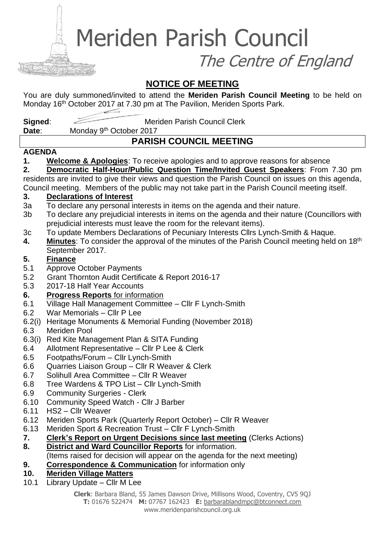Meriden Parish Council

The Centre of England

## **NOTICE OF MEETING**

You are duly summoned/invited to attend the **Meriden Parish Council Meeting** to be held on Monday 16<sup>th</sup> October 2017 at 7.30 pm at The Pavilion, Meriden Sports Park.

**Signed:** Meriden Parish Council Clerk

**Date:** Monday 9<sup>th</sup> October 2017

## **PARISH COUNCIL MEETING**

#### **AGENDA**

**1. Welcome & Apologies**: To receive apologies and to approve reasons for absence

**2. Democratic Half-Hour/Public Question Time/Invited Guest Speakers**: From 7.30 pm residents are invited to give their views and question the Parish Council on issues on this agenda, Council meeting. Members of the public may not take part in the Parish Council meeting itself.

#### **3. Declarations of Interest**

- 3a To declare any personal interests in items on the agenda and their nature.
- 3b To declare any prejudicial interests in items on the agenda and their nature (Councillors with prejudicial interests must leave the room for the relevant items).
- 3c To update Members Declarations of Pecuniary Interests Cllrs Lynch-Smith & Haque.
- **4. Minutes**: To consider the approval of the minutes of the Parish Council meeting held on 18th September 2017.

### **5. Finance**

- 5.1 Approve October Payments
- 5.2 Grant Thornton Audit Certificate & Report 2016-17
- 5.3 2017-18 Half Year Accounts
- **6. Progress Reports** for information
- 6.1 Village Hall Management Committee Cllr F Lynch-Smith
- 6.2 War Memorials Cllr P Lee
- 6.2(i) Heritage Monuments & Memorial Funding (November 2018)
- 6.3 Meriden Pool
- 6.3(i) Red Kite Management Plan & SITA Funding
- 6.4 Allotment Representative Cllr P Lee & Clerk
- 6.5 Footpaths/Forum Cllr Lynch-Smith
- 6.6 Quarries Liaison Group Cllr R Weaver & Clerk
- 6.7 Solihull Area Committee Cllr R Weaver
- 6.8 Tree Wardens & TPO List Cllr Lynch-Smith
- 6.9 Community Surgeries Clerk
- 6.10 Community Speed Watch Cllr J Barber
- 6.11 HS2 Cllr Weaver
- 6.12 Meriden Sports Park (Quarterly Report October) Cllr R Weaver
- 6.13 Meriden Sport & Recreation Trust Cllr F Lynch-Smith
- **7. Clerk's Report on Urgent Decisions since last meeting** (Clerks Actions)
- **8. District and Ward Councillor Reports** for information.
- (Items raised for decision will appear on the agenda for the next meeting)
- **9. Correspondence & Communication** for information only
- **10. Meriden Village Matters**
- 10.1 Library Update Cllr M Lee